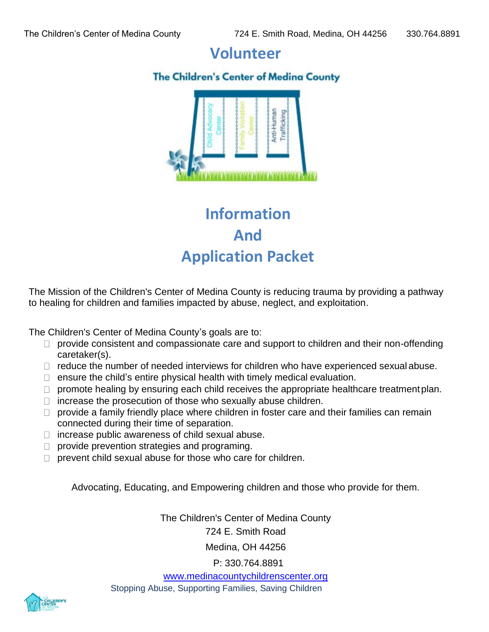# **Volunteer**

## **The Children's Center of Medina County**



# **Information And Application Packet**

The Mission of the Children's Center of Medina County is reducing trauma by providing a pathway to healing for children and families impacted by abuse, neglect, and exploitation.

The Children's Center of Medina County's goals are to:

- $\Box$  provide consistent and compassionate care and support to children and their non-offending caretaker(s).
- $\Box$  reduce the number of needed interviews for children who have experienced sexual abuse.
- $\Box$  ensure the child's entire physical health with timely medical evaluation.
- $\Box$  promote healing by ensuring each child receives the appropriate healthcare treatment plan.
- $\Box$  increase the prosecution of those who sexually abuse children.
- $\Box$  provide a family friendly place where children in foster care and their families can remain connected during their time of separation.
- $\Box$  increase public awareness of child sexual abuse.
- $\Box$  provide prevention strategies and programing.
- $\Box$  prevent child sexual abuse for those who care for children.

Advocating, Educating, and Empowering children and those who provide for them.

The Children's Center of Medina County 724 E. Smith Road

Medina, OH 44256

P: 330.764.8891

[www.medinacountychildrenscenter.org](http://www.medinacountychildrenscenter.org/)

Stopping Abuse, Supporting Families, Saving Children

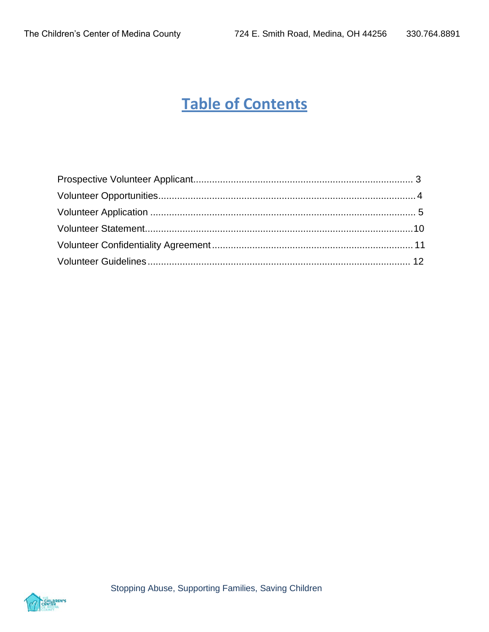# **Table of Contents**

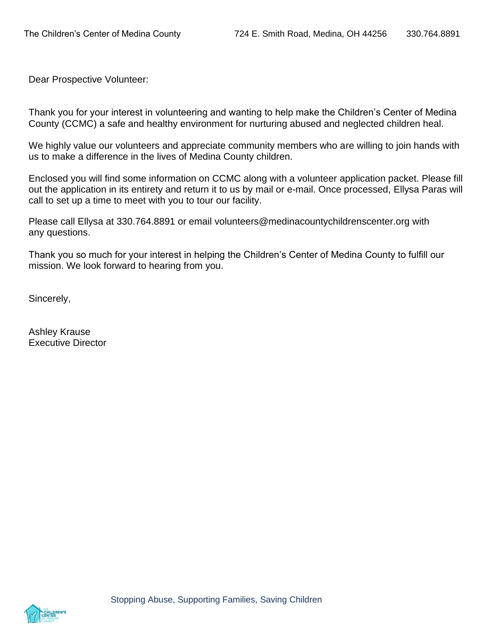Dear Prospective Volunteer:

Thank you for your interest in volunteering and wanting to help make the Children's Center of Medina County (CCMC) a safe and healthy environment for nurturing abused and neglected children heal.

We highly value our volunteers and appreciate community members who are willing to join hands with us to make a difference in the lives of Medina County children.

Enclosed you will find some information on CCMC along with a volunteer application packet. Please fill out the application in its entirety and return it to us by mail or e-mail. Once processed, Ellysa Paras will call to set up a time to meet with you to tour our facility.

Please call Ellysa at 330.764.8891 or email [volunteers@medinacountychildrenscenter.org w](mailto:volunteers@medinacountychildrenscenter.org)ith any questions.

Thank you so much for your interest in helping the Children's Center of Medina County to fulfill our mission. We look forward to hearing from you.

Sincerely,

Ashley Krause Executive Director

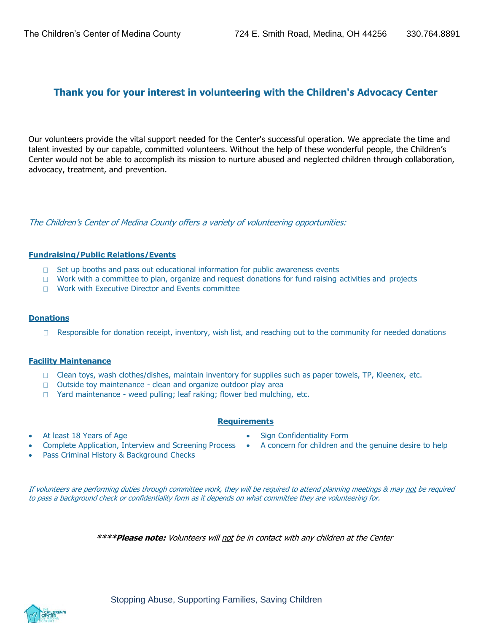## **Thank you for your interest in volunteering with the Children's Advocacy Center**

Our volunteers provide the vital support needed for the Center's successful operation. We appreciate the time and talent invested by our capable, committed volunteers. Without the help of these wonderful people, the Children's Center would not be able to accomplish its mission to nurture abused and neglected children through collaboration, advocacy, treatment, and prevention.

The Children's Center of Medina County offers a variety of volunteering opportunities:

#### **Fundraising/Public Relations/Events**

- $\Box$  Set up booths and pass out educational information for public awareness events
- $\Box$  Work with a committee to plan, organize and request donations for fund raising activities and projects
- **Nork with Executive Director and Events committee**

#### **Donations**

 $\Box$  Responsible for donation receipt, inventory, wish list, and reaching out to the community for needed donations

#### **Facility Maintenance**

- $\Box$  Clean toys, wash clothes/dishes, maintain inventory for supplies such as paper towels, TP, Kleenex, etc.
- $\Box$  Outside toy maintenance clean and organize outdoor play area
- □ Yard maintenance weed pulling; leaf raking; flower bed mulching, etc.

### **Requirements**

- At least 18 Years of Age
	- Complete Application, Interview and Screening Process
- **Pass Criminal History & Background Checks**
- Sign Confidentiality Form
- A concern for children and the genuine desire to help

If volunteers are performing duties through committee work, they will be required to attend planning meetings & may not be required to pass a background check or confidentiality form as it depends on what committee they are volunteering for.

**\*\*\*\*Please note:** Volunteers will not be in contact with any children at the Center

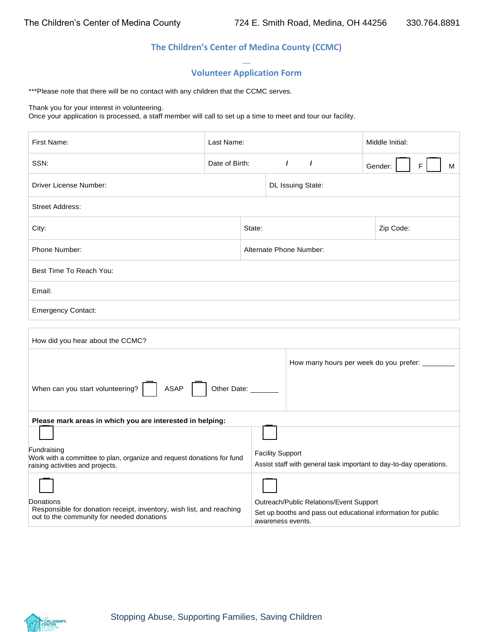### **The Children's Center of Medina County (CCMC)**

#### **--- Volunteer Application Form**

\*\*\*Please note that there will be no contact with any children that the CCMC serves.

#### Thank you for your interest in volunteering.

Once your application is processed, a staff member will call to set up a time to meet and tour our facility.

| First Name:                                                                                                                    | Last Name:     |        |                         | Middle Initial: |                                         |                                                                    |
|--------------------------------------------------------------------------------------------------------------------------------|----------------|--------|-------------------------|-----------------|-----------------------------------------|--------------------------------------------------------------------|
| SSN:                                                                                                                           | Date of Birth: |        | $\prime$                | $\prime$        |                                         | F.<br>Gender:<br>М                                                 |
| Driver License Number:                                                                                                         |                |        | DL Issuing State:       |                 |                                         |                                                                    |
| <b>Street Address:</b>                                                                                                         |                |        |                         |                 |                                         |                                                                    |
| City:                                                                                                                          |                | State: |                         |                 |                                         | Zip Code:                                                          |
| Phone Number:                                                                                                                  |                |        | Alternate Phone Number: |                 |                                         |                                                                    |
| Best Time To Reach You:                                                                                                        |                |        |                         |                 |                                         |                                                                    |
| Email:                                                                                                                         |                |        |                         |                 |                                         |                                                                    |
| <b>Emergency Contact:</b>                                                                                                      |                |        |                         |                 |                                         |                                                                    |
| How did you hear about the CCMC?                                                                                               |                |        |                         |                 |                                         |                                                                    |
| How many hours per week do you prefer:                                                                                         |                |        |                         |                 |                                         |                                                                    |
| When can you start volunteering?<br><b>ASAP</b><br>Other Date: _                                                               |                |        |                         |                 |                                         |                                                                    |
| Please mark areas in which you are interested in helping:                                                                      |                |        |                         |                 |                                         |                                                                    |
| Fundraising<br>Work with a committee to plan, organize and request donations for fund<br>raising activities and projects.      |                |        | <b>Facility Support</b> |                 |                                         | Assist staff with general task important to day-to-day operations. |
| Donations<br>Responsible for donation receipt, inventory, wish list, and reaching<br>out to the community for needed donations |                |        | awareness events.       |                 | Outreach/Public Relations/Event Support | Set up booths and pass out educational information for public      |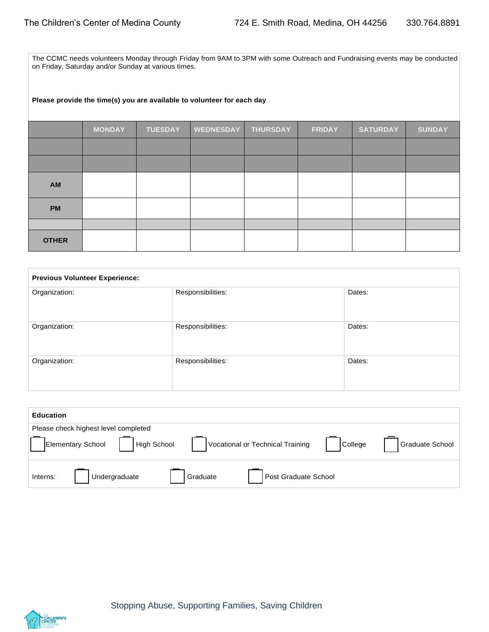The CCMC needs volunteers Monday through Friday from 9AM to 3PM with some Outreach and Fundraising events may be conducted on Friday, Saturday and/or Sunday at various times.

#### **Please provide the time(s) you are available to volunteer for each day**

|              | <b>MONDAY</b> | <b>TUESDAY</b> | <b>WEDNESDAY</b> | <b>THURSDAY</b> | <b>FRIDAY</b> | <b>SATURDAY</b> | <b>SUNDAY</b> |
|--------------|---------------|----------------|------------------|-----------------|---------------|-----------------|---------------|
|              |               |                |                  |                 |               |                 |               |
|              |               |                |                  |                 |               |                 |               |
| AM           |               |                |                  |                 |               |                 |               |
| <b>PM</b>    |               |                |                  |                 |               |                 |               |
|              |               |                |                  |                 |               |                 |               |
| <b>OTHER</b> |               |                |                  |                 |               |                 |               |

| <b>Previous Volunteer Experience:</b> |                   |        |  |
|---------------------------------------|-------------------|--------|--|
| Organization:                         | Responsibilities: | Dates: |  |
| Organization:                         | Responsibilities: | Dates: |  |
| Organization:                         | Responsibilities: | Dates: |  |

| <b>Education</b> |                                                |                                  |         |                 |
|------------------|------------------------------------------------|----------------------------------|---------|-----------------|
|                  | Please check highest level completed           |                                  |         |                 |
|                  | <b>High School</b><br><b>Elementary School</b> | Vocational or Technical Training | College | Graduate School |
| Interns:         | Undergraduate                                  | Post Graduate School<br>Graduate |         |                 |

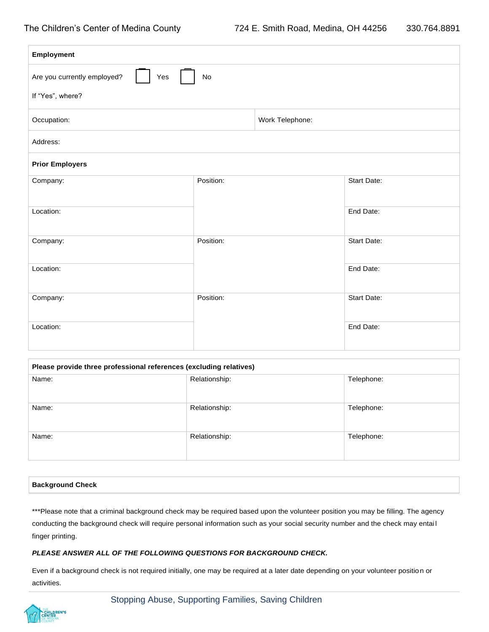| Employment                               |           |                 |                    |  |
|------------------------------------------|-----------|-----------------|--------------------|--|
| Are you currently employed?<br>Yes<br>No |           |                 |                    |  |
| If "Yes", where?                         |           |                 |                    |  |
| Occupation:                              |           | Work Telephone: |                    |  |
| Address:                                 |           |                 |                    |  |
| <b>Prior Employers</b>                   |           |                 |                    |  |
| Company:                                 | Position: |                 | <b>Start Date:</b> |  |
| Location:                                |           |                 | End Date:          |  |
| Company:                                 | Position: |                 | Start Date:        |  |
| Location:                                |           |                 | End Date:          |  |
| Company:                                 | Position: |                 | <b>Start Date:</b> |  |
| Location:                                |           |                 | End Date:          |  |

| Please provide three professional references (excluding relatives) |               |            |  |
|--------------------------------------------------------------------|---------------|------------|--|
| Name:                                                              | Relationship: | Telephone: |  |
| Name:                                                              | Relationship: | Telephone: |  |
| Name:                                                              | Relationship: | Telephone: |  |

#### **Background Check**

\*\*\*Please note that a criminal background check may be required based upon the volunteer position you may be filling. The agency conducting the background check will require personal information such as your social security number and the check may entai l finger printing.

#### *PLEASE ANSWER ALL OF THE FOLLOWING QUESTIONS FOR BACKGROUND CHECK.*

Even if a background check is not required initially, one may be required at a later date depending on your volunteer position or activities.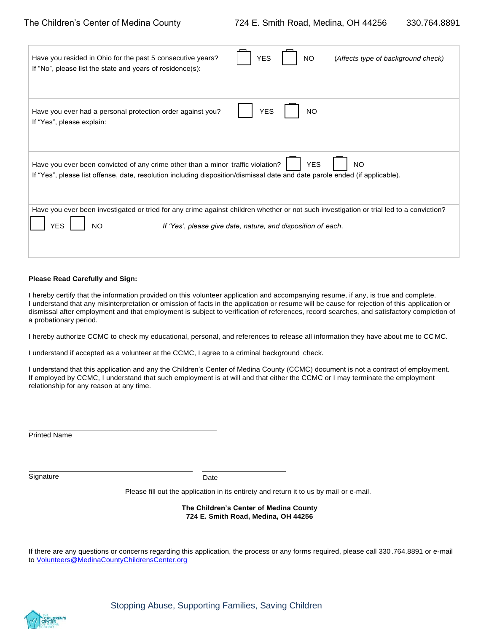| Have you resided in Ohio for the past 5 consecutive years?<br>If "No", please list the state and years of residence(s):     | <b>YES</b><br>(Affects type of background check)<br>NO                                                                                  |
|-----------------------------------------------------------------------------------------------------------------------------|-----------------------------------------------------------------------------------------------------------------------------------------|
| Have you ever had a personal protection order against you?                                                                  | <b>NO</b>                                                                                                                               |
| If "Yes", please explain:                                                                                                   | <b>YES</b>                                                                                                                              |
| Have you ever been convicted of any crime other than a minor traffic violation?                                             | <b>YES</b>                                                                                                                              |
| If "Yes", please list offense, date, resolution including disposition/dismissal date and date parole ended (if applicable). | <b>NO</b>                                                                                                                               |
| YES                                                                                                                         | Have you ever been investigated or tried for any crime against children whether or not such investigation or trial led to a conviction? |
| NΟ                                                                                                                          | If 'Yes', please give date, nature, and disposition of each.                                                                            |

#### **Please Read Carefully and Sign:**

I hereby certify that the information provided on this volunteer application and accompanying resume, if any, is true and complete. I understand that any misinterpretation or omission of facts in the application or resume will be cause for rejection of this application or dismissal after employment and that employment is subject to verification of references, record searches, and satisfactory completion of a probationary period.

I hereby authorize CCMC to check my educational, personal, and references to release all information they have about me to CC MC.

I understand if accepted as a volunteer at the CCMC, I agree to a criminal background check.

I understand that this application and any the Children's Center of Medina County (CCMC) document is not a contract of employ ment. If employed by CCMC, I understand that such employment is at will and that either the CCMC or I may terminate the employment relationship for any reason at any time.

Printed Name

Signature Date Date

Please fill out the application in its entirety and return it to us by mail or e-mail.

**The Children's Center of Medina County 724 E. Smith Road, Medina, OH 44256**

If there are any questions or concerns regarding this application, the process or any forms required, please call 330.764.8891 or e-mail to [Volunteers@MedinaCountyChildrensCenter.org](mailto:Volunteers@MedinaCountyChildrensCenter.org)

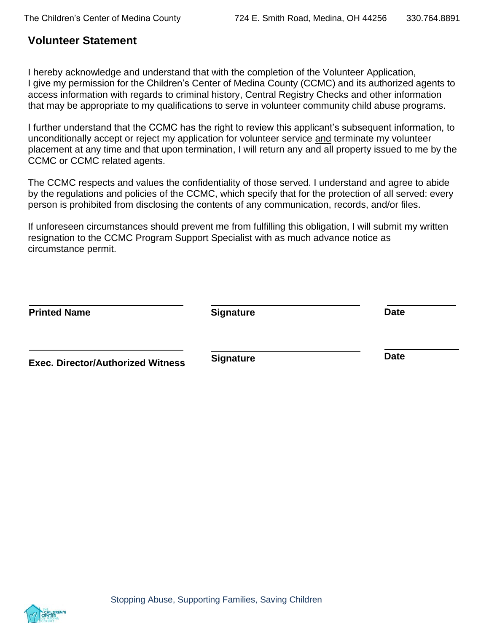## <span id="page-8-0"></span>**Volunteer Statement**

I hereby acknowledge and understand that with the completion of the Volunteer Application, I give my permission for the Children's Center of Medina County (CCMC) and its authorized agents to access information with regards to criminal history, Central Registry Checks and other information that may be appropriate to my qualifications to serve in volunteer community child abuse programs.

I further understand that the CCMC has the right to review this applicant's subsequent information, to unconditionally accept or reject my application for volunteer service and terminate my volunteer placement at any time and that upon termination, I will return any and all property issued to me by the CCMC or CCMC related agents.

The CCMC respects and values the confidentiality of those served. I understand and agree to abide by the regulations and policies of the CCMC, which specify that for the protection of all served: every person is prohibited from disclosing the contents of any communication, records, and/or files.

If unforeseen circumstances should prevent me from fulfilling this obligation, I will submit my written resignation to the CCMC Program Support Specialist with as much advance notice as circumstance permit.

| <b>Printed Name</b>                      | <b>Signature</b> | <b>Date</b> |
|------------------------------------------|------------------|-------------|
| <b>Exec. Director/Authorized Witness</b> | <b>Signature</b> | <b>Date</b> |

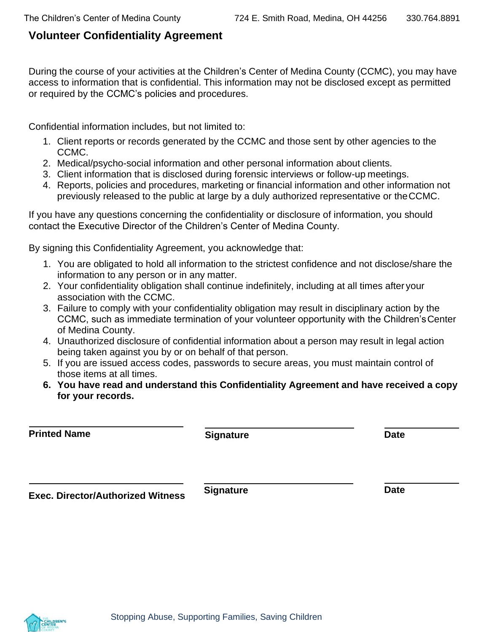# <span id="page-9-0"></span>**Volunteer Confidentiality Agreement**

During the course of your activities at the Children's Center of Medina County (CCMC), you may have access to information that is confidential. This information may not be disclosed except as permitted or required by the CCMC's policies and procedures.

Confidential information includes, but not limited to:

- 1. Client reports or records generated by the CCMC and those sent by other agencies to the CCMC.
- 2. Medical/psycho-social information and other personal information about clients.
- 3. Client information that is disclosed during forensic interviews or follow-up meetings.
- 4. Reports, policies and procedures, marketing or financial information and other information not previously released to the public at large by a duly authorized representative or theCCMC.

If you have any questions concerning the confidentiality or disclosure of information, you should contact the Executive Director of the Children's Center of Medina County.

By signing this Confidentiality Agreement, you acknowledge that:

- 1. You are obligated to hold all information to the strictest confidence and not disclose/share the information to any person or in any matter.
- 2. Your confidentiality obligation shall continue indefinitely, including at all times after your association with the CCMC.
- 3. Failure to comply with your confidentiality obligation may result in disciplinary action by the CCMC, such as immediate termination of your volunteer opportunity with the Children'sCenter of Medina County.
- 4. Unauthorized disclosure of confidential information about a person may result in legal action being taken against you by or on behalf of that person.
- 5. If you are issued access codes, passwords to secure areas, you must maintain control of those items at all times.
- **6. You have read and understand this Confidentiality Agreement and have received a copy for your records.**

| <b>Printed Name</b>                      | <b>Signature</b> | <b>Date</b> |
|------------------------------------------|------------------|-------------|
| <b>Exec. Director/Authorized Witness</b> | <b>Signature</b> | <b>Date</b> |

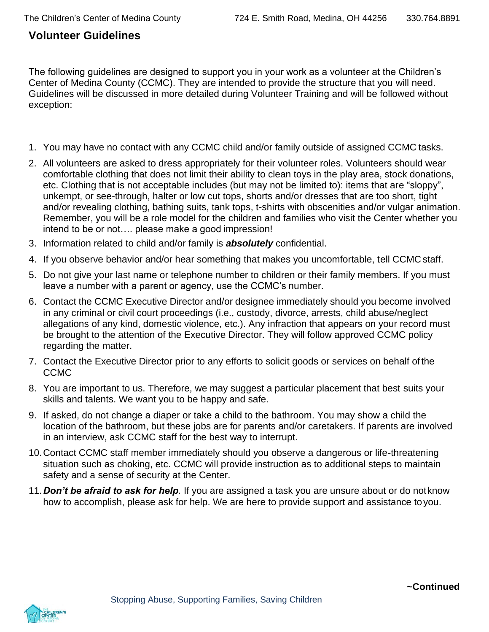## <span id="page-10-0"></span>**Volunteer Guidelines**

The following guidelines are designed to support you in your work as a volunteer at the Children's Center of Medina County (CCMC). They are intended to provide the structure that you will need. Guidelines will be discussed in more detailed during Volunteer Training and will be followed without exception:

- 1. You may have no contact with any CCMC child and/or family outside of assigned CCMC tasks.
- 2. All volunteers are asked to dress appropriately for their volunteer roles. Volunteers should wear comfortable clothing that does not limit their ability to clean toys in the play area, stock donations, etc. Clothing that is not acceptable includes (but may not be limited to): items that are "sloppy", unkempt, or see-through, halter or low cut tops, shorts and/or dresses that are too short, tight and/or revealing clothing, bathing suits, tank tops, t-shirts with obscenities and/or vulgar animation. Remember, you will be a role model for the children and families who visit the Center whether you intend to be or not…. please make a good impression!
- 3. Information related to child and/or family is *absolutely* confidential.
- 4. If you observe behavior and/or hear something that makes you uncomfortable, tell CCMC staff.
- 5. Do not give your last name or telephone number to children or their family members. If you must leave a number with a parent or agency, use the CCMC's number.
- 6. Contact the CCMC Executive Director and/or designee immediately should you become involved in any criminal or civil court proceedings (i.e., custody, divorce, arrests, child abuse/neglect allegations of any kind, domestic violence, etc.). Any infraction that appears on your record must be brought to the attention of the Executive Director. They will follow approved CCMC policy regarding the matter.
- 7. Contact the Executive Director prior to any efforts to solicit goods or services on behalf ofthe CCMC
- 8. You are important to us. Therefore, we may suggest a particular placement that best suits your skills and talents. We want you to be happy and safe.
- 9. If asked, do not change a diaper or take a child to the bathroom. You may show a child the location of the bathroom, but these jobs are for parents and/or caretakers. If parents are involved in an interview, ask CCMC staff for the best way to interrupt.
- 10.Contact CCMC staff member immediately should you observe a dangerous or life-threatening situation such as choking, etc. CCMC will provide instruction as to additional steps to maintain safety and a sense of security at the Center.
- 11.*Don't be afraid to ask for help.* If you are assigned a task you are unsure about or do notknow how to accomplish, please ask for help. We are here to provide support and assistance toyou.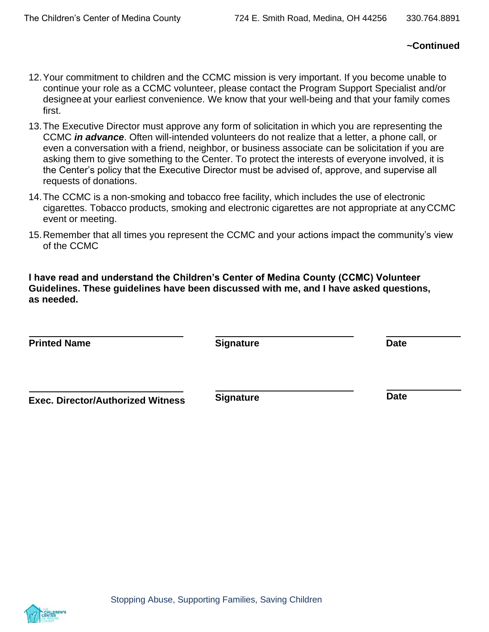## **~Continued**

- 12.Your commitment to children and the CCMC mission is very important. If you become unable to continue your role as a CCMC volunteer, please contact the Program Support Specialist and/or designeeat your earliest convenience. We know that your well-being and that your family comes first.
- 13.The Executive Director must approve any form of solicitation in which you are representing the CCMC *in advance*. Often will-intended volunteers do not realize that a letter, a phone call, or even a conversation with a friend, neighbor, or business associate can be solicitation if you are asking them to give something to the Center. To protect the interests of everyone involved, it is the Center's policy that the Executive Director must be advised of, approve, and supervise all requests of donations.
- 14.The CCMC is a non-smoking and tobacco free facility, which includes the use of electronic cigarettes. Tobacco products, smoking and electronic cigarettes are not appropriate at anyCCMC event or meeting.
- 15.Remember that all times you represent the CCMC and your actions impact the community's view of the CCMC

**I have read and understand the Children's Center of Medina County (CCMC) Volunteer Guidelines. These guidelines have been discussed with me, and I have asked questions, as needed.**

| <b>Printed Name</b>                      | <b>Signature</b> | <b>Date</b> |
|------------------------------------------|------------------|-------------|
| <b>Exec. Director/Authorized Witness</b> | <b>Signature</b> | <b>Date</b> |